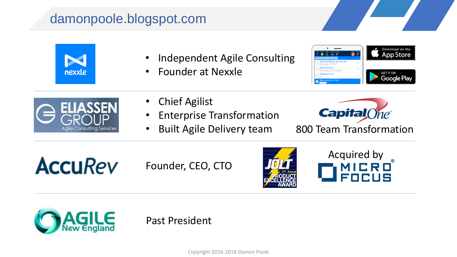# damonpoole.blogspot.com



- Independent Agile Consulting
- Founder at Nexxle





- **Chief Agilist**
- Enterprise Transformation
- Built Agile Delivery team



800 Team Transformation



Founder, CEO, CTO







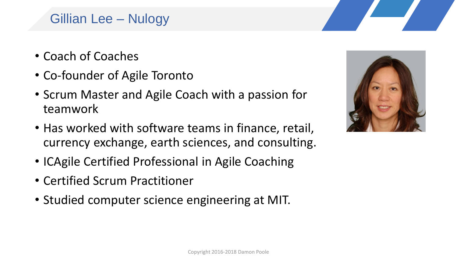# Gillian Lee – Nulogy

- Coach of Coaches
- Co-founder of Agile Toronto
- Scrum Master and Agile Coach with a passion for teamwork
- Has worked with software teams in finance, retail, currency exchange, earth sciences, and consulting.
- ICAgile Certified Professional in Agile Coaching
- Certified Scrum Practitioner
- Studied computer science engineering at MIT.

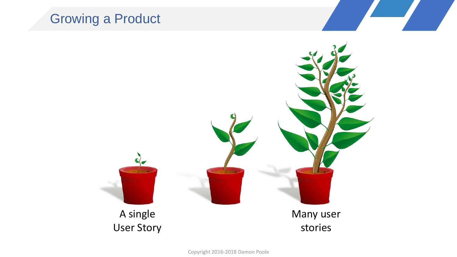# Growing a Product

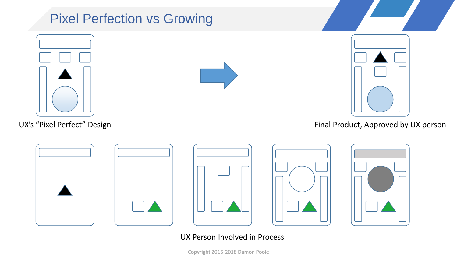# Pixel Perfection vs Growing



UX's "Pixel Perfect" Design





Final Product, Approved by UX person









#### UX Person Involved in Process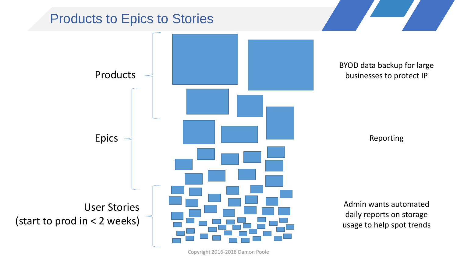

Copyright 2016-2018 Damon Poole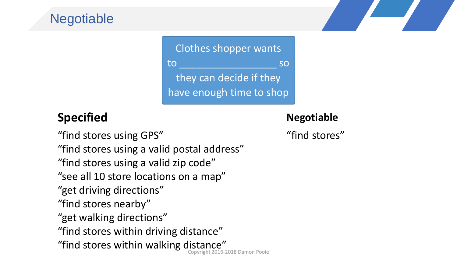# **Negotiable**

Clothes shopper wants to \_\_\_\_\_\_\_\_\_\_\_\_\_\_\_\_\_ so they can decide if they have enough time to shop

### **Specified**

#### **Negotiable**

"find stores"

"find stores using GPS" "find stores using a valid postal address" "find stores using a valid zip code" "see all 10 store locations on a map" "get driving directions" "find stores nearby" "get walking directions" "find stores within driving distance" "find stores within walking distance"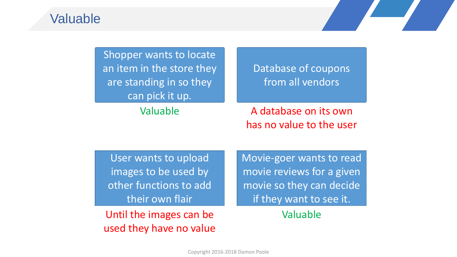#### Valuable

| Shopper wants to locate<br>an item in the store they<br>are standing in so they<br>can pick it up. | Database of coupons<br>from all vendors           |
|----------------------------------------------------------------------------------------------------|---------------------------------------------------|
| Valuable                                                                                           | A database on its own<br>has no value to the user |

User wants to upload images to be used by other functions to add their own flair

Until the images can be used they have no value Movie-goer wants to read movie reviews for a given movie so they can decide if they want to see it.

Valuable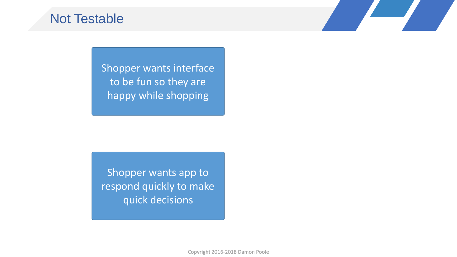### Not Testable

Shopper wants interface to be fun so they are happy while shopping

Shopper wants app to respond quickly to make quick decisions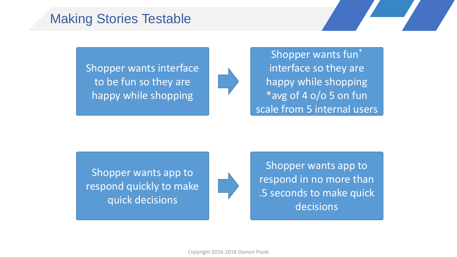### Making Stories Testable

Shopper wants interface to be fun so they are happy while shopping

Shopper wants fun\* interface so they are happy while shopping \*avg of 4 o/o 5 on fun scale from 5 internal users

Shopper wants app to respond quickly to make quick decisions

Shopper wants app to respond in no more than .5 seconds to make quick decisions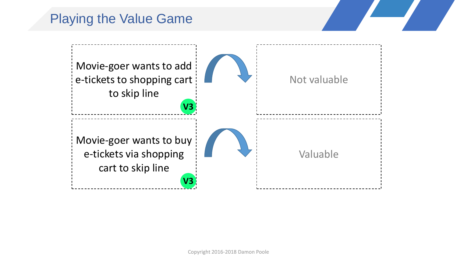# Playing the Value Game

![](_page_9_Figure_1.jpeg)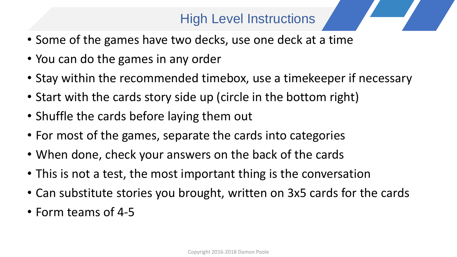# High Level Instructions

- Some of the games have two decks, use one deck at a time
- You can do the games in any order
- Stay within the recommended timebox, use a timekeeper if necessary
- Start with the cards story side up (circle in the bottom right)
- Shuffle the cards before laying them out
- For most of the games, separate the cards into categories
- When done, check your answers on the back of the cards
- This is not a test, the most important thing is the conversation
- Can substitute stories you brought, written on 3x5 cards for the cards
- Form teams of 4-5